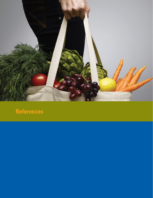

## **References**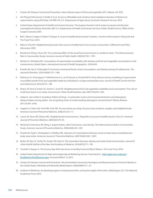- 1. Centers for Disease Control and Prevention. *State indicator report of fruits and vegetables 2013*. Atlanta, GA 2013.
- 2. Ver Ploeg M, Breneman V, Dutko P, et al. Access to affordable and nutritious food: Updated estimates of distance to supermarkets using 2010 data. Vol ERR-143: U.S. Department of Agriculture, Economic Research Service; 2012.
- 3. United States Department of Health and Human Services. *The Surgeon General's call to action to prevent and decrease overweight and obesity*. Rockville, MD: U.S. Department of Health and Human Services, Public Health Service, Office of the Surgeon General; 2001.
- 4. Bell J, Mora G, Hagan E, Rubin V, Karpyn A. *Access to healthy food and why it matters: A review of the research*. PolicyLink and The Food Trust; 2013.
- 5. Bolen E, Hecht K. *Neighborhood groceries: New access to healthy food in low-income communities*. California Food Policy Advocates; 2003.
- 6. Morland K, Wing S, Roux AD. The contextual effect of the local food environment on residents' diets: The Atherosclerosis Risk in Communities Study. *American Journal of Public Health*. 2002;92:1761–1767.
- 7. Michimi A, Wimberly MC. Associations of supermarket accessibility with obesity and fruit and vegetable consumption in the conterminous United States. *International Journal of Health Geographics*. 2010;9:49.
- 8. Powell LM, Han E, Chaloupka FJ. Economic contextual factors, food consumption, and obesity among US adolescents. *The Journal of Nutritio*n. 2010;140(6):1175–1180.
- 9. Robinson PL, Dominguez F, Teklehaimanot S, Lee M, Brown A, Goodchild M. Does distance decay modelling of supermarket accessibility predict fruit and vegetable intake by individuals in a large metropolitan area. *Journal of Health Care for the Poor and Underserve*d. 2013;24:172–185.
- 10. Bodor JN, Rose D, Farley TA, Swalm C, Scott SK. Neighbourhood fruit and vegetable availability and consumption: The role of small food stores in an urban environment. *Public Health Nutrition*. Apr 2007;11(4):413–420.
- 11. Giskes K, van Lenthe F, Avendano-Pabon M, Brug J. A systematic review of environmental factors and obesogenic dietary intakes among adults: Are we getting closer to understanding obesogenic environments? *Obesity Review*s. 2011;12:e95–e106.
- 12. Inagami S, Cohen DA, Finch BK, Asch SM. You are where you shop: Grocery store locations, weight, and neighborhoods. *American Journal of Preventive Medicin*e. 2006;31(1):10–17.
- 13. Larson NI, Story MT, Nelson MC. Neighborhood environments: Disparities in access to healthy foods in the U.S. *American Journal of Preventive Medicine*. 2009;36(1):74–81.
- 14. Morland K, Diez Roux AV, Wing S. Supermarkets, other food stores, and obesity: The Atherosclerosis Risk in Communities Study. *American Journal of Preventive Medicine*. 2006;30(4):333–339.
- 15. Powell LM, Auld C, Chaloupka FJ, O'Malley PM, Johnston LD. Associations between access to food stores and adolescent body mass index. *American Journal of Preventive Medicine*. 2007;33(4S):S301–S307.
- 16. Bodor JN, Rice JC, Farley TA, Swalm CM, Rose D. The association between obesity and urban food environments. *Journal of Urban Health: Bulletin of the New York Academy of Medicine*. 2010;87(5):771–781.
- 17. Treuhaft S, Karpyn A. *The Grocery Gap: Who Has Access to Healthy Food and Why It Matter*s. The Food Trust; 2010.
- 18. United States Department of Agriculture/Agricultural Marketing Service. Food deserts. [http://apps.ams.usda.gov/](http://apps.ams.usda.gov/fooddeserts/foodDeserts.aspx) [fooddeserts/foodDeserts.aspx.](http://apps.ams.usda.gov/fooddeserts/foodDeserts.aspx) Accessed March 13, 2013.
- 19. Centers for Disease Control and Prevention. Recommended Community Strategies and Measurements to Prevent Obesity in the United States. *Morbidity and Mortality Weekly Report*. 2009;58(RR-7):1–27.
- 20. Institute of Medicine. *Accelerating progress in obesity prevention: solving the weight of the nation*. Washington, DC: The National Academies Press; 2012.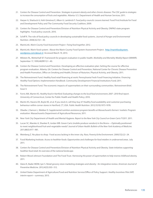- 21. Centers for Disease Control and Prevention. *Strategies to prevent obesity and other chronic diseases: The CDC guide to strategies to increase the consumption of fruits and vegetables*. Atlanta: U.S. Department of Health and Human Services; 2011.
- 22. Harper A, Shattuck A, Holt-Giménez E, Alkon A, Lambrick F. *Food policy councils: Lessons learned*. Food First/Institute for Food and Development Policy and The Community Food Security Coalition; 2009.
- 23. Centers for Disease Control and Prevention/Division of Nutrition Physical Activity and Obesity. DNPAO state program highlights: Food policy councils. 2010.
- 24. Schiff R. The role of food policy councils in developing sustainable food systems. *Journal of Hunger and Environmental Nutrition*. 2008;3(2/3):1–30.
- 25. MarinLink. *Marin County Food Assessment Project: Fixing food togethe*r; 2012.
- 26. MarinLink. Marin food system: About the Marin County Food System Assessment Project. [http://marinfoodsystem.](http://marinfoodsystem.wordpress.com/about) [wordpress.com/about](http://marinfoodsystem.wordpress.com/about)-2/. Accessed March 19, 2013.
- 27. Milstein RL, Wetterhall SF. Framework for program evaluation in public health. *Morbidity and Mortality Weekly Report (MMWR*). September 17, 1999;48(RR11):1–40.
- 28. Centers for Disease Control and Prevention. Developing an effective evaluation plan: Setting the course for effective program evaluation. Atlanta, GA: Centers for Disease Control and Prevention, National Center for Chronic Disease Prevention and Health Promotion, Office on Smoking and Health; Divison of Nuturion, Physical Activity, and Obesity; 2011.
- 29. The Reinvestment Fund. Healthy food retail financing at work: Pennsylvania Fresh Food Financing Initiative. *Financing Healthy Food Options: Implementation Handbook.* Community Development Financial Institutions Fund; 2011.
- 30. The Reinvestment Fund. The economic impacts of supermarkets on their surrounding communities. *Reinvestment Brief*, Issue 4.
- 31. Ferris AM, Martin KS. *Healthy food in Hartford: Evaluating changes to the local food environment; 2007–2010 final report*. University of Connecticut, Center for Public Health and Health Policy; 2010.
- 32. Martin KS, Havens EK, Boyle KE, et al. If you stock it, will they buy it? Healthy food availability and customer purchasing behaviour within corner stores in Hartford, CT, USA. *Public Health Nutrition*. 2012;15(10):1973-1978.
- 33. Obadia J, Damon L, Webber D. *Supplemental nutrition assistance program benefits at Massachusetts farmers' markets: Program evaluation*. Massachusetts Department of Agricultural Resources; 2011.
- 34. New York City Department of Health and Mental Hygiene. *Report to the New York City Council on Green Carts FY2011*. 2011.
- 35. Lucan SC, Maroko A, Shanker R, Jordan WB. Green Carts (mobile produce vendors) in the Bronx-Optimally positioned to meet neighborhood fruit-and-vegetable needs? *Journal of Urban Health: Bulletin of the New York Academy of Medicine*. 2011;88(5):977–981.
- 36. Weinberg Z. No place to shop: Food access lacking in the inner city. *Race, Poverty & the Environment*. 2000;7(2):22–24.
- 37. Food Marketing Institute. *Access to healthier foods: Opportunities and challenges for food retailers in underserved areas*. July 2011.
- 38. Centers for Disease Control and Prevention/Division of Nutrition Physical Activity and Obesity. S*tate initiatives supporting healthier food retail: An overview of the national landscape*.
- 39. Robert Wood Johnson Foundation and The Food Trust. *Harnessing the power of supermarkets to help reverse childhood obesi*ty. 2011.
- 40. Glanz K, Bader MDM, Iyer S. Retail grocery store marketing strategies and obesity: An integrative review. *American Journal of Preventive Medicine*. 2012;42(5):503–512.
- 41. United States Department of Agriculture/Food and Nutrition Service/Office of Policy Support. *Healthy Incentives Pilot (HIP) interim report—summary*. 2013.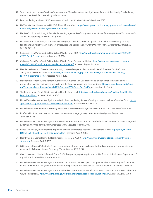- 42. Texas Health and Human Services Commission and Texas Department of Agriculture. Report of the Healthy Food Advisory Committee: Fresh food availabilty in Texas; 2010.
- 43. Food Marketing Institute. *2013 Survey report: Retailer contributions to health & wellness*. 2013.
- 44. Hy-Vee. Madison Hy-Vee earns LEED® Gold certification 2012; [http://www.hy-vee.com/company/press-room/press-releases/](http://www.hy-vee.com/company/press-room/press-releases/madison-hy-vee-earns-leed-gold-certification.aspx) [madison-hy-vee-earns-leed-gold-certification.aspx.](http://www.hy-vee.com/company/press-room/press-releases/madison-hy-vee-earns-leed-gold-certification.aspx)
- 45. Harries C, Holtzman E, Lang B, Perry D. *Stimulating supermarket development in Illinois: Healthier people, healthier communities, & a healthier economy*. The Food Trust; 2009.
- 46. Fleischhacker SE, Flournoy R, Moore LV. Meaningful, measurable, and manageable approaches to evaluating healthy food financing initiatives: An overview of resources and approaches. *Journal of Public Health Management and Practice*. 2012;00(00):1–9.
- 47. California FreshWorks Fund. California FreshWorks Fund. 2012; [http://cafreshworks.com/wp-content/uploads/2014/01/](http://cafreshworks.com/wp-content/uploads/2014/01/CFWF_FactSHT_9.pdf) [CFWF\\_FactSHT\\_9.pdf.](http://cafreshworks.com/wp-content/uploads/2014/01/CFWF_FactSHT_9.pdf) Accessed August 26, 2014.
- 48. California FreshWorks Fund. California FreshWorks Fund: Program guidelines. [http://cafreshworks.com/wp-content/](http://cafreshworks.com/wp-content/uploads/2014/01/cafwf_program_guidelines_072511.pdf) [uploads/2014/01/cafwf\\_program\\_guidelines\\_072511.pdf.](http://cafreshworks.com/wp-content/uploads/2014/01/cafwf_program_guidelines_072511.pdf) Accessed August 26, 2014.
- 49. New Jersey Economic Development Authority. Statewide supermarket summit kicks off Governor Corzine's New Jersey Food Access Initiative. [http://www.njeda.com/web/aspx\\_pg/Templates/Press\\_Rls.aspx?topid=721&Doc\\_](http://www.njeda.com/web/aspx_pg/Templates/Press_Rls.aspx?topid=721&Doc_Id=1091&ParentDocID=163.) [Id=1091&ParentDocID=163.](http://www.njeda.com/web/aspx_pg/Templates/Press_Rls.aspx?topid=721&Doc_Id=1091&ParentDocID=163.) Accessed April 1, 2013.
- 50. New Jersey Economic Development Authority. Lt. Governor Kim Guadagno helps launch enhanced public-private partnership that aims to increase access to healthy food in underserved communities. [http://www.njeda.com/web/Aspx\\_](http://www.njeda.com/web/Aspx_pg/Templates/Press_Rls.aspx?topid=721&Doc_Id=1685&ParentDocID=164.) [pg/Templates/Press\\_Rls.aspx?topid=721&Doc\\_Id=1685&ParentDocID=164.](http://www.njeda.com/web/Aspx_pg/Templates/Press_Rls.aspx?topid=721&Doc_Id=1685&ParentDocID=164.) Accessed April 1, 2013.
- 51. The Reinvestment Fund. Obtain financing: Healthy food retail. [http://www.trfund.com/financing/Healthy\\_food/Healthy\\_](http://www.trfund.com/financing/Healthy_food/Healthy_Food_Retail.html) [Food\\_Retail.html](http://www.trfund.com/financing/Healthy_food/Healthy_Food_Retail.html). Accessed April 18, 2013.
- 52. United States Department of Agriculture/Agricultural Marketing Service. Creating access to healthy, affordable food. [http://](http://apps.ams.usda.gov/fooddeserts/AccessHealthyFood.pdf) [apps.ams.usda.gov/fooddeserts/AccessHealthyFood.pdf.](http://apps.ams.usda.gov/fooddeserts/AccessHealthyFood.pdf) Accessed March 28, 2013.
- 53. United States Senate Committee on Agriculture Nutrition & Forestry. *Agriculture Reform, Food and Jobs Act of 2013*. 2013.
- 54. Kaufman PR. Rural poor have less access to supermarkets, large grocery stores. *Rural Development Perspectives*. 1999;13(3):19-26.
- 55. United States Department of Agriculture/Economic Research Service. *Access to affordable and nutritious food: Measuring and understanding food deserts and their consequences: Report to congress*. 2009.
- 56. PolicyLink. Healthy food retailing: Improving existing small stores. *Equitable Development Toolkit* [http://policylink.info/](http://policylink.info/EDTK/HealthyFoodRetailing/ExistingStores.html) [EDTK/HealthyFoodRetailing/ExistingStores.html.](http://policylink.info/EDTK/HealthyFoodRetailing/ExistingStores.html) Accessed April 2, 2013.
- 57. Healthy Corner Stores Network. Healthy corner stores Q & A. 2010;<http://www.healthycornerstores.org/healthy>-cornerstores-q-a. Accessed April 2, 2013.
- 58. Gittelsohn J, Rowan M, Gadhoke P. Interventions in small food stores to change the food environment, improve diet, and reduce risk of chronic disease. *Preventing Chronic Disease*. 2012;9:E59.
- 59. Cole N, Jacobson J, Nichols-Barrer I, Fox MK. *WIC food packages policy options study: Final report*. United States Department of Agriculture, Food and Nutrition Service; 2011.
- 60. United States Department of Agriculture/Food and Nutrition Service. Special Supplemental Nutrition Program for Women, Infants and Children (WIC) revisions in the WIC food packages rule to increase cash value vouchers for women. 2009, 74.
- 61. United States Department of Agriculture Food and Nutrition Services. Benefits & services: Questions and answers about the WIC food packages. [http://www.fns.usda.gov/wic/benefitsandservices/foodpkgquestions.htm.](http://www.fns.usda.gov/wic/benefitsandservices/foodpkgquestions.htm) Accessed April 3, 2013.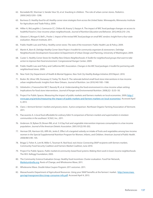- 62. Borradaile KE, Sherman S, Vander Veur SS, et al. Snacking in children: The role of urban corner stores. *Pediatrics*. 2009;124(5):1293–1298.
- 63. Burtness D. *Healthy food for all: Healthy corner store strategies from across the United States*. Minneapolis, Minnesota: Institute for Agriculture and Trade Policy; 2009.
- 64. Hillier A, McLaughlin J, Cannuscio CC, Chilton M, Krasny S, Karpyn A. The impact of WIC food package changes on access to healthful food in 2 low-income urban neighborhoods. *Journal of Nutrition Education and Behavior*. 2012;44(3):210–216.
- 65. Gleason S, Morgan R, Bell L, Pooler J. *Impact of the revised WIC food package on small WIC vendors: Insight from a four-state evaluation*. Altarum Institute; 2011.
- 66. Public Health Law and Policy. *Healthy corner stores: The state of the movement*. Public Health Law & Policy; 2009.
- 67. Martin K, Born B. *Delridge Healthy Corner Store Project: A toolkit for community organizers & storeowners*. Delridge Neighborhoods Development Association & Department of Urban Design and Planning, University of Washington; 2009.
- 68. Custer S. *Healthy Corner Stores for Healthy New Orleans Neighborhoods: A Toolkit for neighborhood groups that want to take action to improve their food environment*. Congressional Hunger Center; 2009.
- 69. Public Health Law and Policy and California WIC Association. *Changes in the WIC food packages: A toolkit for partnering with neighborhood stores*. 2009.
- 70. New York City Department of Health & Mental Hygiene. *New York City Healthy Bodega Initiative 2010 Report*. 2010.
- 71. Bodor JN, Ulmer VM, Dunaway LF, Farley TA, Rose D. The rationale behind small food store interventions in low-income urban neighborhoods: Insights from New Orleans. *Journal of Nutrition*. Jun 2010;140:1185–1188.
- 72. Gittelsohn J, Franceschini MCT, Rasooly IR, et al. Understanding the food environment in a low-income urban setting: Implications for food store interventions. *Journal of Hunger and Environmental Nutrition*. 2008;2(2–3):33–50.
- 73. Project For Public Spaces. Measuring the impact of public markets and farmers markets on local economies. 2009; [http://](http://www.pps.org/articles/measuring) [www.pps.org/articles/measuring](http://www.pps.org/articles/measuring)-the-impact-of-public-markets-and-farmers-markets-on-local-economies/. Accessed April 4, 2013.
- 74. Claro J. *Vermont farmers' markets and grocery stores: A price comparison*. Northeast Organic Farming Association of Vermont; 2011.
- 75. Flaccavento A. *Is local food affordable for ordinary folks? A comparison of farmers markets and supermarkets in nineteen communities in the southeast*. SCALE, Inc.; 2011.
- 76. Anderson JV, Bybee DI, Brown RM, et al. 5 A Day fruit and vegetable intervention improves consumption in a low income population. *Journal of the American Dietetic Association*. 2001;101(2):195-202.
- 77. Herman DR, Harrison GG, Afifi AA, Jenks E. Effect of a targeted subsidy on intake of fruits and vegetables among low-income women in the Special Supplemental Nutrition Program for Women, Infants, and Children. *American Journal of Public Health*. 2008;98(1):98–105.
- 78. Briggs S, Fisher A, Lott M, Miller S, Tessman N. *Real food, real choice: Connecting SNAP recipients with farmers markets*. Community Food Security Coalition and Farmers Market Coalition; June 2010.
- 79. Project For Public Spaces. *Public markets & community-based food systems: Making them work in lower-income neighborhoods*. The W.K. Kellogg Foundation; 2003.
- 80. The Community Science Evaluation Group. Healthy food incentives: Cluster evaluation. Food Fair Network, <Marketumbrella.org>, Roots of Change, and Wholesome Wave; 2011.
- 81. Wholesome Wave. *Double Value Coupon Program: 2011 outcomes*. 2011.
- 82. Massachusetts Department of Agricultural Resources. Using your SNAP benefits at the farmers' market. [http://www.mass.](http://www.mass.gov/agr/massgrown/docs/snap-consumer-info.pdf) [gov/agr/massgrown/docs/snap-consumer-info.pdf](http://www.mass.gov/agr/massgrown/docs/snap-consumer-info.pdf). Accessed April 4, 2013.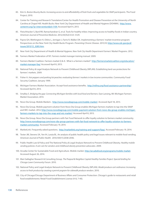- 83. Kim G. *Boston Bounty Bucks: Increasing access to and affordability of fresh fruits and vegetables for SNAP participants*. The Food Project; 2010.
- 84. Center for Training and Research Translation/Center for Health Promotion and Disease Prevention at the University of North Carolina at Chapel Hill. Health Bucks: New York City Department of Health and Mental Hygiene (DOHMH). [http://www.](http://www.centertrt.org/?p=intervention&id=1109.) [centertrt.org/?p=intervention&id=1109.](http://www.centertrt.org/?p=intervention&id=1109.) Accessed April 4, 2013.
- 85. Fleischhacker S, Byrd RR, Ramachandran G, et al. Tools for healthy tribes: Improving access to healthy foods in Indian country. *American Journal of Preventive Medicine*. 2012;43(3S2):S123–S129.
- 86. Payne GH, Wethington H, Olsho L, Jernigan J, Farris R, Walker DK. Implementing a farmers' market incentive program: Perspectives on the New York City Health Bucks Program. *Preventing Chronic Disease*. 2013;10: [http://www.cdc.gov/pcd/](http://www.cdc.gov/pcd/issues/2013/12_0285.htm) [issues/2013/12\\_0285.htm.](http://www.cdc.gov/pcd/issues/2013/12_0285.htm)
- 87. New York City Department of Health & Mental Hygiene. *New York City Health Department Farmers' Market Programs*. 2012.
- 88. Farmers Market Federation of NY. *Farmers market manager training manual*. 2009.
- 89. Farmers Market Coalition. Farmers market Q & A: What is a farmers market? [http://farmersmarketcoalition.org/education/](http://farmersmarketcoalition.org/education/market) [market](http://farmersmarketcoalition.org/education/market)-manager-faq/. Accessed April 8, 2013.
- 90. National Policy & Legal Analysis Network to Prevent Childhood Obesity (NPLAN). Establishing land use protections for farmers' markets. 2009.
- 91. Fisher A. *Hot peppers and parking lot peaches: evaluating farmers' markets in low income communities*. Community Food Security Coalition; January 1999.
- 92. Michigan Farmers Market Association. Accept food assistance benefits. <http://mifma.org/food>-assistance-partnership/. Accessed April 8, 2013.
- 93. Smalley S. *Bridging the gap: Connecting Michigan families with local food and farmers*. East Lansing, MI: Michigan Farmers Market Association; 2014.
- 94. Novo Dia Group. Mobile Market+. <http://www.novodiagroup.com/mobile>-market/. Accessed April 18, 2013.
- 95. Novo Dia Group. Mobile payment solution from Novo Dia Group enables Michigan farmers markets to tap into the SNAP and WIC market. 2012;<http://www.novodiagroup.com/mobile>-payment-solution-from-novo-dia-group-enables-michiganfarmers-markets-to-tap-into-the-snap-and-wic-market/. Accessed April 8, 2013.
- 96. Novo Dia Group. Novo Dia Group partners with Fair Food Network to offer loyalty solution to farmers market community. [http://www.novodiagroup.com/novo-](http://www.novodiagroup.com/novo)dia-group-partners-with-fair-food-network-to-offer-loyalty-solution-to-farmersmarket-community/. Accessed February 19, 2014.
- 97. MarketLink. Frequently asked questions. [http://marketlink.org/training-and-support/faqs/](http://marketlink.org/training-and-support/faqs). Accessed February 19, 2014.
- 98. Tester JM, Stevens SA, Yen IH, Laraia BL. An analysis of public health policy and legal issues relevant to mobile food vending. *American Journal of Public Health*. 2010;100(11):2038-2046.
- 99. Public Health Law & Policy and The National Policy & Legal Analysis Network to Prevent Childhood Obesity. *Healthy mobile vending policies: A win-win for vendors and childhood obesity prevention advocates*. 2009.
- 100. Arcadia Center for Sustainable Food and Agriculture. Mobile market. [http://arcadiafood.org/programs/mobile-](http://arcadiafood.org/programs/mobile)market. Accessed August 26, 2014.
- 101. Mari Gallagher Research & Consulting Group. *The Peapod & Neighbor Capital Healthy Families Project: Special briefing for Chicago Lawn Community Forum*. 2010.
- 102. National Policy and Legal Analysis Network to Prevent Childhood Obesity (NPLAN). *Model produce cart ordinance: Increasing access to fresh produce by creating a permit pogram for sidewalk produce vendors*. 2010.
- 103. City of Chicago/Chicago Department of Business Affairs and Consumer Protection. Chicago's guide to restaurants and retail food establishments: Retail Food Establishment License (4-8, 7-40).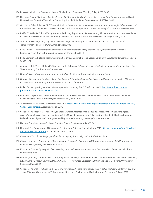- 104. Kansas City Parks and Recreation. Kansas City Parks and Recreation Vending Policy 4.7.08. 2006.
- 105. Hobson J, Quiroz-Martínez J. *Roadblocks to health: Transportation barriers to healthy communities*. Transportation and Land Use Coalition; Center for Third World Organizing; People United for a Better Oakland (PUEBLO); 2002.
- 106. Gottlieb R, Fisher A, Dohan M, O'Connor L, Parks V. *Homeward Bound: Food-related transportation strategies in low income and transit dependent communities*. The University of California Transportation Center, University of California at Berkeley; 1996.
- 107. Kieffer EC, Willis SK, Odoms-Young AM, et al. Reducing disparities in diabetes among African-American and Latino residents of Detroit: The essential role of community planning focus groups. *Ethnicity and Disease*. 2004;14(3; SUPP/1):27–37.
- 108. Steiss TA. *Calculating/Analyzing transit dependent populations using 2000 census data and GIS*. U.S. Department of Transportation/Federal Highway Administration; 2006.
- 109. Bell J, Cohen L. *The transportation prescription: Bold new ideas for healthy, equitable transportation reform in America*. PolicyLink, Prevention Institute, and Convergence Partnership; 2010.
- 110. Bell J, Standish M. Building healthy communities through equitable food access. *Community Development Investment Review*. 2009:75–87.
- 111. Ashman L, de la Vega J, Dohan M, Fisher A, Hippler R, Romain B. *Seeds of change: Strategies for food security for the inner city*. The Community Food Security Coalition; 1993.
- 112. Litman T. *Evaluating public transportation health benefits*. Victoria Transport Policy Institute; 2010.
- 113. Ortega J. *Car sharing in the United States: Helping people transition from welfare to work and improving the quality of life of lowincome families*. Community Transportation Association of America.
- 114. Parker TM. Recognizing excellence in transportation planning. *Public Roads*. 2005;68(5). [http://www.fhwa.dot.gov/](http://www.fhwa.dot.gov/publications/publicroads/05mar/05.cfm) [publications/publicroads/05mar/05.cfm.](http://www.fhwa.dot.gov/publications/publicroads/05mar/05.cfm)
- 115. Minnesota Department of Health/Environmental Health Division. *Healthy Communities Count!: Indicators of community health along the Central Corridor Light Rail Transit (LRT) route*. 2010.
- 116. The Metropolitan Council. The Metro Green Line. [http://www.metrocouncil.org/Transportation/Projects/Current-Projects/](http://www.metrocouncil.org/Transportation/Projects/Current-Projects/Central-Corridor.aspx) [Central-Corridor.aspx.](http://www.metrocouncil.org/Transportation/Projects/Current-Projects/Central-Corridor.aspx) Accessed July 24, 2014.
- 117. Vallianatos M, Pasciuto G, Swanson M, Shaffer S. *Bringing people to good food and good food to people: Enhancing food access through transportation and land use policies*. Urban & Environmental Policy Institute/Occidental College, Community Redevelopment Agency of Los Angeles, and Esparanza Community Housing Corporation; 2011.
- 118. National Complete Streets Coalition. *Complete Streets: Fundamentals*. Feb 27, 2013.
- 119. New York City Department of Design and Construction. Active design guidelines. 2013; [http://www.nyc.gov/html/ddc/html/](http://www.nyc.gov/html/ddc/html/design/active_design.shtml) [design/active\\_design.shtml](http://www.nyc.gov/html/ddc/html/design/active_design.shtml). Accessed February 27, 2013.
- 120. City of New York. *Active design guidelines: Promoting physical activity and health in design*. 2010.
- 121. City of Los Angeles Department of Transportation. *Los Angeles Department Of Transportation reroutes DASH Downtown to better serve the growing South Park area*. 2007.
- 122. McCann B. Community design for healthy eating: How land use and transportation solutions can help. Robert Wood Johnson Foundation; 2006.
- 123. Mohan V, Cassady D. *Supermarket shuttle programs: A feasibility study for supermarkets located in low-income, transit dependent, urban neighborhoods in California*. Davis, CA: Center for Advanced Studies in Nutrition and Social Marketing, University of California, Davis; 2002.
- 124. Vallianatos M, Shaffer A, Gottlieb R. *Transportation and food: The importance of access (A policy brief of the Center for Food and Justice, Urban and Environmental Policy Institute)*. Urban and Environmental Policy Institute, Occidental College; 2002.